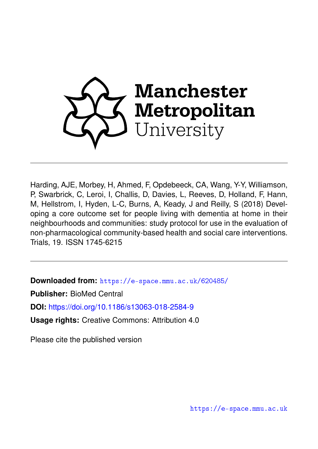

Harding, AJE, Morbey, H, Ahmed, F, Opdebeeck, CA, Wang, Y-Y, Williamson, P, Swarbrick, C, Leroi, I, Challis, D, Davies, L, Reeves, D, Holland, F, Hann, M, Hellstrom, I, Hyden, L-C, Burns, A, Keady, J and Reilly, S (2018) Developing a core outcome set for people living with dementia at home in their neighbourhoods and communities: study protocol for use in the evaluation of non-pharmacological community-based health and social care interventions. Trials, 19. ISSN 1745-6215

**Downloaded from:** <https://e-space.mmu.ac.uk/620485/>

**Publisher:** BioMed Central

**DOI:** <https://doi.org/10.1186/s13063-018-2584-9>

**Usage rights:** Creative Commons: Attribution 4.0

Please cite the published version

<https://e-space.mmu.ac.uk>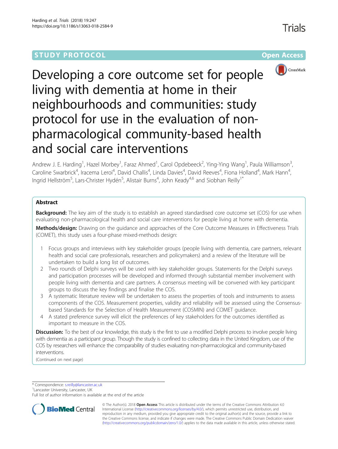# **STUDY PROTOCOL CONSUMING THE RESERVE ACCESS**



# Developing a core outcome set for people living with dementia at home in their neighbourhoods and communities: study protocol for use in the evaluation of nonpharmacological community-based health and social care interventions

Andrew J. E. Harding<sup>1</sup>, Hazel Morbey<sup>1</sup>, Faraz Ahmed<sup>1</sup>, Carol Opdebeeck<sup>2</sup>, Ying-Ying Wang<sup>1</sup>, Paula Williamson<sup>3</sup> , Caroline Swarbrick<sup>4</sup>, Iracema Leroi<sup>4</sup>, David Challis<sup>4</sup>, Linda Davies<sup>4</sup>, David Reeves<sup>4</sup>, Fiona Holland<sup>4</sup>, Mark Hann<sup>4</sup> , Ingrid Hellström<sup>5</sup>, Lars-Christer Hydén<sup>5</sup>, Alistair Burns<sup>4</sup>, John Keady<sup>4,6</sup> and Siobhan Reilly<sup>1\*</sup>

# Abstract

**Background:** The key aim of the study is to establish an agreed standardised core outcome set (COS) for use when evaluating non-pharmacological health and social care interventions for people living at home with dementia.

Methods/design: Drawing on the quidance and approaches of the Core Outcome Measures in Effectiveness Trials (COMET), this study uses a four-phase mixed-methods design:

- 1 Focus groups and interviews with key stakeholder groups (people living with dementia, care partners, relevant health and social care professionals, researchers and policymakers) and a review of the literature will be undertaken to build a long list of outcomes.
- 2 Two rounds of Delphi surveys will be used with key stakeholder groups. Statements for the Delphi surveys and participation processes will be developed and informed through substantial member involvement with people living with dementia and care partners. A consensus meeting will be convened with key participant groups to discuss the key findings and finalise the COS.
- 3 A systematic literature review will be undertaken to assess the properties of tools and instruments to assess components of the COS. Measurement properties, validity and reliability will be assessed using the Consensusbased Standards for the Selection of Health Measurement (COSMIN) and COMET guidance.
- 4 A stated preference survey will elicit the preferences of key stakeholders for the outcomes identified as important to measure in the COS.

**Discussion:** To the best of our knowledge, this study is the first to use a modified Delphi process to involve people living with dementia as a participant group. Though the study is confined to collecting data in the United Kingdom, use of the COS by researchers will enhance the comparability of studies evaluating non-pharmacological and community-based interventions.

(Continued on next page)

\* Correspondence: [s.reilly@lancaster.ac.uk](mailto:s.reilly@lancaster.ac.uk) <sup>1</sup>

<sup>1</sup> Lancaster University, Lancaster, UK

Full list of author information is available at the end of the article



© The Author(s). 2018 Open Access This article is distributed under the terms of the Creative Commons Attribution 4.0 International License [\(http://creativecommons.org/licenses/by/4.0/](http://creativecommons.org/licenses/by/4.0/)), which permits unrestricted use, distribution, and reproduction in any medium, provided you give appropriate credit to the original author(s) and the source, provide a link to the Creative Commons license, and indicate if changes were made. The Creative Commons Public Domain Dedication waiver [\(http://creativecommons.org/publicdomain/zero/1.0/](http://creativecommons.org/publicdomain/zero/1.0/)) applies to the data made available in this article, unless otherwise stated.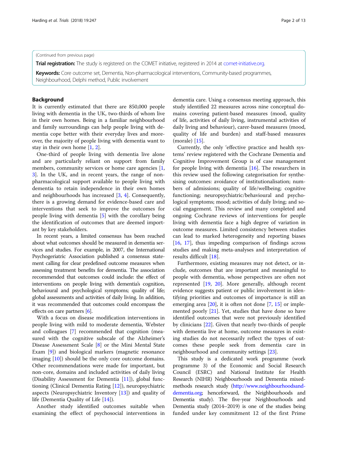# (Continued from previous page)

**Trial registration:** The study is registered on the COMET initiative, registered in 2014 at [comet-initiative.org.](http://www.comet-initiative.org)

Keywords: Core outcome set, Dementia, Non-pharmacological interventions, Community-based programmes, Neighbourhood, Delphi method, Public involvement

# Background

It is currently estimated that there are 850,000 people living with dementia in the UK, two-thirds of whom live in their own homes. Being in a familiar neighbourhood and family surroundings can help people living with dementia cope better with their everyday lives and moreover, the majority of people living with dementia want to stay in their own home [[1,](#page-12-0) [2\]](#page-12-0).

One-third of people living with dementia live alone and are particularly reliant on support from family members, community services or home care agencies [\[1](#page-12-0), [3\]](#page-12-0). In the UK, and in recent years, the range of nonpharmacological support available to people living with dementia to retain independence in their own homes and neighbourhoods has increased [[3,](#page-12-0) [4\]](#page-12-0). Consequently, there is a growing demand for evidence-based care and interventions that seek to improve the outcomes for people living with dementia [\[5](#page-12-0)] with the corollary being the identification of outcomes that are deemed important by key stakeholders.

In recent years, a limited consensus has been reached about what outcomes should be measured in dementia services and studies. For example, in 2007, the International Psychogeriatric Association published a consensus statement calling for clear predefined outcome measures when assessing treatment benefits for dementia. The association recommended that outcomes could include: the effect of interventions on people living with dementia's cognition, behavioural and psychological symptoms; quality of life; global assessments and activities of daily living. In addition, it was recommended that outcomes could encompass the effects on care partners [\[6](#page-12-0)].

With a focus on disease modification interventions in people living with mild to moderate dementia, Webster and colleagues [\[7](#page-12-0)] recommended that cognition (measured with the cognitive subscale of the Alzheimer's Disease Assessment Scale [\[8](#page-12-0)] or the Mini Mental State Exam [\[9](#page-12-0)]) and biological markers (magnetic resonance imaging [\[10](#page-12-0)]) should be the only core outcome domains. Other recommendations were made for important, but non-core, domains and included activities of daily living (Disability Assessment for Dementia [[11\]](#page-12-0)), global functioning (Clinical Dementia Rating [\[12](#page-12-0)]), neuropsychiatric aspects (Neuropsychiatric Inventory [[13\]](#page-12-0)) and quality of life (Dementia Quality of Life [\[14\]](#page-12-0)).

Another study identified outcomes suitable when examining the effect of psychosocial interventions in dementia care. Using a consensus meeting approach, this study identified 22 measures across nine conceptual domains covering patient-based measures (mood, quality of life, activities of daily living, instrumental activities of daily living and behaviour), carer-based measures (mood, quality of life and burden) and staff-based measures (morale) [\[15](#page-12-0)].

Currently, the only 'effective practice and health systems' review registered with the Cochrane Dementia and Cognitive Improvement Group is of case management for people living with dementia [\[16](#page-12-0)]. The researchers in this review used the following categorisation for synthesising outcomes: avoidance of institutionalisation; numbers of admissions; quality of life/wellbeing; cognitive functioning; neuropsychiatric/behavioural and psychological symptoms; mood; activities of daily living; and social engagement. This review and many completed and ongoing Cochrane reviews of interventions for people living with dementia face a high degree of variation in outcome measures. Limited consistency between studies can lead to marked heterogeneity and reporting biases [[16,](#page-12-0) [17\]](#page-12-0), thus impeding comparison of findings across studies and making meta-analyses and interpretation of results difficult [\[18\]](#page-12-0).

Furthermore, existing measures may not detect, or include, outcomes that are important and meaningful to people with dementia, whose perspectives are often not represented [\[19](#page-12-0), [20\]](#page-12-0). More generally, although recent evidence suggests patient or public involvement in identifying priorities and outcomes of importance is still an emerging area [\[20](#page-12-0)], it is often not done [[7,](#page-12-0) [15\]](#page-12-0) or implemented poorly [[21\]](#page-12-0). Yet, studies that have done so have identified outcomes that were not previously identified by clinicians [[22\]](#page-12-0). Given that nearly two-thirds of people with dementia live at home, outcome measures in existing studies do not necessarily reflect the types of outcomes these people seek from dementia care in neighbourhood and community settings [[23\]](#page-12-0).

This study is a dedicated work programme (work programme 3) of the Economic and Social Research Council (ESRC) and National Institute for Health Research (NIHR) Neighbourhoods and Dementia mixedmethods research study [\(http://www.neighbourhoodsand](http://www.neighbourhoodsanddementia.org)[dementia.org;](http://www.neighbourhoodsanddementia.org) henceforward, the Neighbourhoods and Dementia study). The five-year Neighbourhoods and Dementia study (2014–2019) is one of the studies being funded under key commitment 12 of the first Prime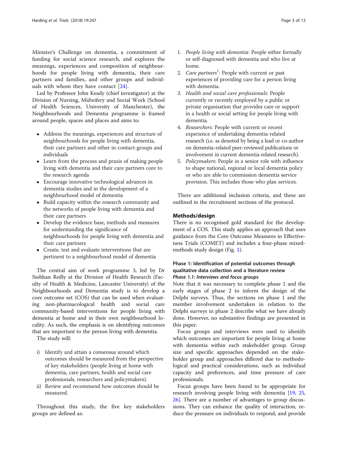Minister's Challenge on dementia, a commitment of funding for social science research, and explores the meanings, experiences and composition of neighbourhoods for people living with dementia, their care partners and families, and other groups and individuals with whom they have contact  $[24]$  $[24]$ .

Led by Professor John Keady (chief investigator) at the Division of Nursing, Midwifery and Social Work (School of Health Sciences, University of Manchester), the Neighbourhoods and Dementia programme is framed around people, spaces and places and aims to:

- Address the meanings, experiences and structure of neighbourhoods for people living with dementia, their care partners and other in-contact-groups and individuals
- Learn from the process and praxis of making people living with dementia and their care partners core to the research agenda
- Encourage innovative technological advances in dementia studies and in the development of a neighbourhood model of dementia
- Build capacity within the research community and the networks of people living with dementia and their care partners
- Develop the evidence base, methods and measures for understanding the significance of neighbourhoods for people living with dementia and their care partners
- Create, test and evaluate interventions that are pertinent to a neighbourhood model of dementia

The central aim of work programme 3, led by Dr Siobhan Reilly at the Division of Health Research (Faculty of Health & Medicine, Lancaster University) of the Neighbourhoods and Dementia study is to develop a core outcome set (COS) that can be used when evaluating non-pharmacological health and social care community-based interventions for people living with dementia at home and in their own neighbourhood locality. As such, the emphasis is on identifying outcomes that are important to the person living with dementia. The study will:

- i) Identify and attain a consensus around which outcomes should be measured from the perspective of key stakeholders (people living at home with dementia, care partners, health and social care professionals, researchers and policymakers).
- ii) Review and recommend how outcomes should be measured.

Throughout this study, the five key stakeholders groups are defined as:

- 1. People living with dementia: People either formally or self-diagnosed with dementia and who live at home.
- 2. Care partners<sup>1</sup>: People with current or past experiences of providing care for a person living with dementia.
- 3. Health and social care professionals: People currently or recently employed by a public or private organisation that provides care or support in a health or social setting for people living with dementia.
- 4. Researchers: People with current or recent experience of undertaking dementia-related research (i.e. as denoted by being a lead or co-author on dementia-related peer-reviewed publications or involvement in current dementia-related research).
- 5. Policymakers: People in a senior role with influence to shape national, regional or local dementia policy or who are able to commission dementia service provision. This includes those who plan services.

There are additional inclusion criteria, and these are outlined in the recruitment sections of the protocol.

# Methods/design

There is no recognised gold standard for the development of a COS. This study applies an approach that uses guidance from the Core Outcome Measures in Effectiveness Trials (COMET) and includes a four-phase mixedmethods study design (Fig. [1](#page-4-0)).

# Phase 1: Identification of potential outcomes through qualitative data collection and a literature review Phase 1.1: Interviews and focus groups

Note that it was necessary to complete phase 1 and the early stages of phase 2 to inform the design of the Delphi surveys. Thus, the sections on phase 1 and the member involvement undertaken in relation to the Delphi surveys in phase 2 describe what we have already done. However, no substantive findings are presented in this paper.

Focus groups and interviews were used to identify which outcomes are important for people living at home with dementia within each stakeholder group. Group size and specific approaches depended on the stakeholder group and approaches differed due to methodological and practical considerations, such as individual capacity and preferences, and time pressure of care professionals.

Focus groups have been found to be appropriate for research involving people living with dementia [\[19](#page-12-0), [25](#page-12-0), [26\]](#page-12-0). There are a number of advantages to group discussions. They can enhance the quality of interaction, reduce the pressure on individuals to respond, and provide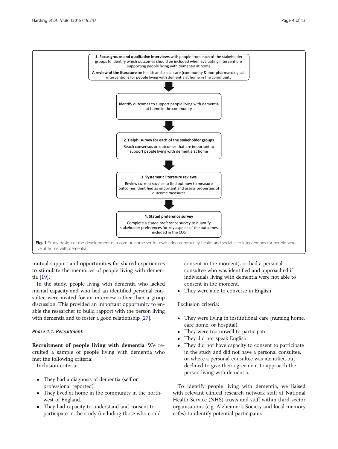<span id="page-4-0"></span>

mutual support and opportunities for shared experiences to stimulate the memories of people living with dementia [[19\]](#page-12-0).

In the study, people living with dementia who lacked mental capacity and who had an identified personal consultee were invited for an interview rather than a group discussion. This provided an important opportunity to enable the researcher to build rapport with the person living with dementia and to foster a good relationship [\[27\]](#page-12-0).

# Phase 1.1: Recruitment:

Recruitment of people living with dementia We recruited a sample of people living with dementia who met the following criteria:

Inclusion criteria:

- They had a diagnosis of dementia (self or professional reported).
- They lived at home in the community in the northwest of England.
- They had capacity to understand and consent to participate in the study (including those who could

consent in the moment), or had a personal consultee who was identified and approached if individuals living with dementia were not able to consent in the moment.

They were able to converse in English.

# Exclusion criteria:

- They were living in institutional care (nursing home, care home, or hospital).
- They were too unwell to participate.
- They did not speak English.
- They did not have capacity to consent to participate in the study and did not have a personal consultee, or where a personal consultee was identified but declined to give their agreement to approach the person living with dementia.

To identify people living with dementia, we liaised with relevant clinical research network staff at National Health Service (NHS) trusts and staff within third-sector organisations (e.g. Alzheimer's Society and local memory cafes) to identify potential participants.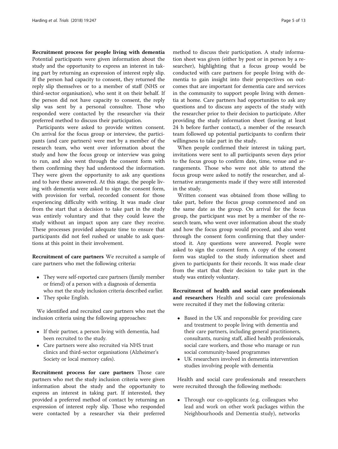Recruitment process for people living with dementia Potential participants were given information about the study and the opportunity to express an interest in taking part by returning an expression of interest reply slip. If the person had capacity to consent, they returned the reply slip themselves or to a member of staff (NHS or third-sector organisation), who sent it on their behalf. If the person did not have capacity to consent, the reply slip was sent by a personal consultee. Those who responded were contacted by the researcher via their preferred method to discuss their participation.

Participants were asked to provide written consent. On arrival for the focus group or interview, the participants (and care partners) were met by a member of the research team, who went over information about the study and how the focus group or interview was going to run, and also went through the consent form with them confirming they had understood the information. They were given the opportunity to ask any questions and to have these answered. At this stage, the people living with dementia were asked to sign the consent form, with provision for verbal, recorded consent for those experiencing difficulty with writing. It was made clear from the start that a decision to take part in the study was entirely voluntary and that they could leave the study without an impact upon any care they receive. These processes provided adequate time to ensure that participants did not feel rushed or unable to ask questions at this point in their involvement.

Recruitment of care partners We recruited a sample of care partners who met the following criteria:

- They were self-reported care partners (family member or friend) of a person with a diagnosis of dementia who met the study inclusion criteria described earlier.
- They spoke English.

We identified and recruited care partners who met the inclusion criteria using the following approaches:

- If their partner, a person living with dementia, had been recruited to the study.
- Care partners were also recruited via NHS trust clinics and third-sector organisations (Alzheimer's Society or local memory cafes).

Recruitment process for care partners Those care partners who met the study inclusion criteria were given information about the study and the opportunity to express an interest in taking part. If interested, they provided a preferred method of contact by returning an expression of interest reply slip. Those who responded were contacted by a researcher via their preferred

method to discuss their participation. A study information sheet was given (either by post or in person by a researcher), highlighting that a focus group would be conducted with care partners for people living with dementia to gain insight into their perspectives on outcomes that are important for dementia care and services in the community to support people living with dementia at home. Care partners had opportunities to ask any questions and to discuss any aspects of the study with the researcher prior to their decision to participate. After providing the study information sheet (leaving at least 24 h before further contact), a member of the research team followed up potential participants to confirm their willingness to take part in the study.

When people confirmed their interest in taking part, invitations were sent to all participants seven days prior to the focus group to confirm date, time, venue and arrangements. Those who were not able to attend the focus group were asked to notify the researcher, and alternative arrangements made if they were still interested in the study.

Written consent was obtained from those willing to take part, before the focus group commenced and on the same date as the group. On arrival for the focus group, the participant was met by a member of the research team, who went over information about the study and how the focus group would proceed, and also went through the consent form confirming that they understood it. Any questions were answered. People were asked to sign the consent form. A copy of the consent form was stapled to the study information sheet and given to participants for their records. It was made clear from the start that their decision to take part in the study was entirely voluntary.

Recruitment of health and social care professionals and researchers Health and social care professionals were recruited if they met the following criteria:

- Based in the UK and responsible for providing care and treatment to people living with dementia and their care partners, including general practitioners, consultants, nursing staff, allied health professionals, social care workers, and those who manage or run social community-based programmes
- UK researchers involved in dementia intervention studies involving people with dementia

Health and social care professionals and researchers were recruited through the following methods:

 Through our co-applicants (e.g. colleagues who lead and work on other work packages within the Neighbourhoods and Dementia study), networks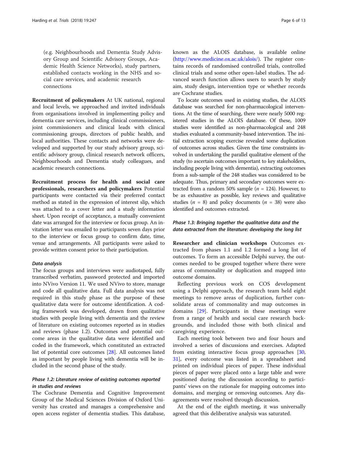(e.g. Neighbourhoods and Dementia Study Advisory Group and Scientific Advisory Groups, Academic Health Science Networks), study partners, established contacts working in the NHS and social care services, and academic research connections

Recruitment of policymakers At UK national, regional and local levels, we approached and invited individuals from organisations involved in implementing policy and dementia care services, including clinical commissioners, joint commissioners and clinical leads with clinical commissioning groups, directors of public health, and local authorities. These contacts and networks were developed and supported by our study advisory group, scientific advisory group, clinical research network officers, Neighbourhoods and Dementia study colleagues, and academic research connections.

Recruitment process for health and social care professionals, researchers and policymakers Potential participants were contacted via their preferred contact method as stated in the expression of interest slip, which was attached to a cover letter and a study information sheet. Upon receipt of acceptance, a mutually convenient date was arranged for the interview or focus group. An invitation letter was emailed to participants seven days prior to the interview or focus group to confirm date, time, venue and arrangements. All participants were asked to provide written consent prior to their participation.

# Data analysis

The focus groups and interviews were audiotaped, fully transcribed verbatim, password protected and imported into NVivo Version 11. We used NVivo to store, manage and code all qualitative data. Full data analysis was not required in this study phase as the purpose of these qualitative data were for outcome identification. A coding framework was developed, drawn from qualitative studies with people living with dementia and the review of literature on existing outcomes reported as in studies and reviews (phase 1.2). Outcomes and potential outcome areas in the qualitative data were identified and coded in the framework, which constituted an extracted list of potential core outcomes [\[28](#page-12-0)]. All outcomes listed as important by people living with dementia will be included in the second phase of the study.

# Phase 1.2: Literature review of existing outcomes reported in studies and reviews

The Cochrane Dementia and Cognitive Improvement Group of the Medical Sciences Division of Oxford University has created and manages a comprehensive and open access register of dementia studies. This database, known as the ALOIS database, is available online ([http://www.medicine.ox.ac.uk/alois/\)](http://www.medicine.ox.ac.uk/alois). The register contains records of randomised controlled trials, controlled clinical trials and some other open-label studies. The advanced search function allows users to search by study aim, study design, intervention type or whether records are Cochrane studies.

To locate outcomes used in existing studies, the ALOIS database was searched for non-pharmacological interventions. At the time of searching, there were nearly 5000 registered studies in the ALOIS database. Of these, 1009 studies were identified as non-pharmacological and 248 studies evaluated a community-based intervention. The initial extraction scoping exercise revealed some duplication of outcomes across studies. Given the time constraints involved in undertaking the parallel qualitative element of the study (to ascertain outcomes important to key stakeholders, including people living with dementia), extracting outcomes from a sub-sample of the 248 studies was considered to be adequate. Thus, primary and secondary outcomes were extracted from a random 50% sample ( $n = 124$ ). However, to be as exhaustive as possible, key reviews and qualitative studies ( $n = 8$ ) and policy documents ( $n = 38$ ) were also identified and outcomes extracted.

# Phase 1.3: Bringing together the qualitative data and the data extracted from the literature: developing the long list

Researcher and clinician workshops Outcomes extracted from phases 1.1 and 1.2 formed a long list of outcomes. To form an accessible Delphi survey, the outcomes needed to be grouped together where there were areas of commonality or duplication and mapped into outcome domains.

Reflecting previous work on COS development using a Delphi approach, the research team held eight meetings to remove areas of duplication, further consolidate areas of commonality and map outcomes in domains [[29\]](#page-12-0). Participants in these meetings were from a range of health and social care research backgrounds, and included those with both clinical and caregiving experience.

Each meeting took between two and four hours and involved a series of discussions and exercises. Adapted from existing interactive focus group approaches [[30](#page-12-0), [31\]](#page-12-0), every outcome was listed in a spreadsheet and printed on individual pieces of paper. These individual pieces of paper were placed onto a large table and were positioned during the discussion according to participants' views on the rationale for mapping outcomes into domains, and merging or removing outcomes. Any disagreements were resolved through discussion.

At the end of the eighth meeting, it was universally agreed that this deliberative analysis was saturated.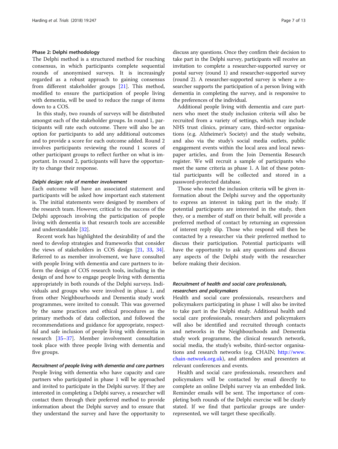# Phase 2: Delphi methodology

The Delphi method is a structured method for reaching consensus, in which participants complete sequential rounds of anonymised surveys. It is increasingly regarded as a robust approach to gaining consensus from different stakeholder groups [\[21](#page-12-0)]. This method, modified to ensure the participation of people living with dementia, will be used to reduce the range of items down to a COS.

In this study, two rounds of surveys will be distributed amongst each of the stakeholder groups. In round 1, participants will rate each outcome. There will also be an option for participants to add any additional outcomes and to provide a score for each outcome added. Round 2 involves participants reviewing the round 1 scores of other participant groups to reflect further on what is important. In round 2, participants will have the opportunity to change their response.

# Delphi design: role of member involvement

Each outcome will have an associated statement and participants will be asked how important each statement is. The initial statements were designed by members of the research team. However, critical to the success of the Delphi approach involving the participation of people living with dementia is that research tools are accessible and understandable [\[32](#page-12-0)].

Recent work has highlighted the desirability of and the need to develop strategies and frameworks that consider the views of stakeholders in COS design [[21](#page-12-0), [33](#page-12-0), [34](#page-12-0)]. Referred to as member involvement, we have consulted with people living with dementia and care partners to inform the design of COS research tools, including in the design of and how to engage people living with dementia appropriately in both rounds of the Delphi surveys. Individuals and groups who were involved in phase 1, and from other Neighbourhoods and Dementia study work programmes, were invited to consult. This was governed by the same practices and ethical procedures as the primary methods of data collection, and followed the recommendations and guidance for appropriate, respectful and safe inclusion of people living with dementia in research [\[35](#page-12-0)–[37](#page-12-0)]. Member involvement consultation took place with three people living with dementia and five groups.

Recruitment of people living with dementia and care partners People living with dementia who have capacity and care partners who participated in phase 1 will be approached and invited to participate in the Delphi survey. If they are interested in completing a Delphi survey, a researcher will contact them through their preferred method to provide information about the Delphi survey and to ensure that they understand the survey and have the opportunity to discuss any questions. Once they confirm their decision to take part in the Delphi survey, participants will receive an invitation to complete a researcher-supported survey or postal survey (round 1) and researcher-supported survey (round 2). A researcher-supported survey is where a researcher supports the participation of a person living with dementia in completing the survey, and is responsive to the preferences of the individual.

Additional people living with dementia and care partners who meet the study inclusion criteria will also be recruited from a variety of settings, which may include NHS trust clinics, primary care, third-sector organisations (e.g. Alzheimer's Society) and the study website, and also via the study's social media outlets, public engagement events within the local area and local newspaper articles, and from the Join Dementia Research register. We will recruit a sample of participants who meet the same criteria as phase 1. A list of these potential participants will be collected and stored in a password-protected database.

Those who meet the inclusion criteria will be given information about the Delphi survey and the opportunity to express an interest in taking part in the study. If potential participants are interested in the study, then they, or a member of staff on their behalf, will provide a preferred method of contact by returning an expression of interest reply slip. Those who respond will then be contacted by a researcher via their preferred method to discuss their participation. Potential participants will have the opportunity to ask any questions and discuss any aspects of the Delphi study with the researcher before making their decision.

# Recruitment of health and social care professionals, researchers and policymakers

Health and social care professionals, researchers and policymakers participating in phase 1 will also be invited to take part in the Delphi study. Additional health and social care professionals, researchers and policymakers will also be identified and recruited through contacts and networks in the Neighbourhoods and Dementia study work programme, the clinical research network, social media, the study's website, third-sector organisations and research networks (e.g. CHAIN; [http://www.](http://www.chain-network.org.uk) [chain-network.org.uk\)](http://www.chain-network.org.uk), and attendees and presenters at relevant conferences and events.

Health and social care professionals, researchers and policymakers will be contacted by email directly to complete an online Delphi survey via an embedded link. Reminder emails will be sent. The importance of completing both rounds of the Delphi exercise will be clearly stated. If we find that particular groups are underrepresented, we will target these specifically.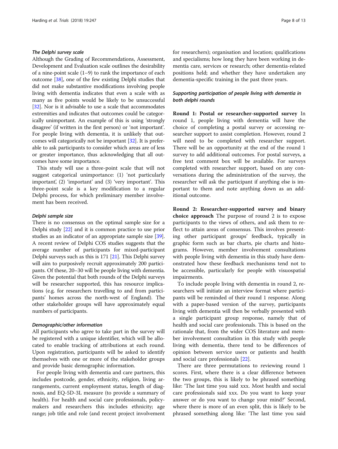# The Delphi survey scale

Although the Grading of Recommendations, Assessment, Development and Evaluation scale outlines the desirability of a nine-point scale (1–9) to rank the importance of each outcome [\[38\]](#page-12-0), one of the few existing Delphi studies that did not make substantive modifications involving people living with dementia indicates that even a scale with as many as five points would be likely to be unsuccessful [[32](#page-12-0)]. Nor is it advisable to use a scale that accommodates extremities and indicates that outcomes could be categorically unimportant. An example of this is using 'strongly disagree' (if written in the first person) or 'not important'. For people living with dementia, it is unlikely that outcomes will categorically not be important [\[32\]](#page-12-0). It is preferable to ask participants to consider which areas are of less or greater importance, thus acknowledging that all outcomes have some importance.

This study will use a three-point scale that will not suggest categorical unimportance: (1) 'not particularly important', (2) 'important' and (3) 'very important'. This three-point scale is a key modification to a regular Delphi process, for which preliminary member involvement has been received.

# Delphi sample size

There is no consensus on the optimal sample size for a Delphi study [[22](#page-12-0)] and it is common practice to use prior studies as an indicator of an appropriate sample size [[39](#page-12-0)]. A recent review of Delphi COS studies suggests that the average number of participants for mixed-participant Delphi surveys such as this is 171 [\[21\]](#page-12-0). This Delphi survey will aim to purposively recruit approximately 200 participants. Of these, 20–30 will be people living with dementia. Given the potential that both rounds of the Delphi surveys will be researcher supported, this has resource implications (e.g. for researchers travelling to and from participants' homes across the north-west of England). The other stakeholder groups will have approximately equal numbers of participants.

# Demographic/other information

All participants who agree to take part in the survey will be registered with a unique identifier, which will be allocated to enable tracking of attributions at each round. Upon registration, participants will be asked to identify themselves with one or more of the stakeholder groups and provide basic demographic information.

For people living with dementia and care partners, this includes postcode, gender, ethnicity, religion, living arrangements, current employment status, length of diagnosis, and EQ-5D-3L measure (to provide a summary of health). For health and social care professionals, policymakers and researchers this includes ethnicity; age range; job title and role (and recent project involvement for researchers); organisation and location; qualifications and specialisms; how long they have been working in dementia care, services or research; other dementia-related positions held; and whether they have undertaken any dementia-specific training in the past three years.

# Supporting participation of people living with dementia in both delphi rounds

Round 1: Postal or researcher-supported survey In round 1, people living with dementia will have the choice of completing a postal survey or accessing researcher support to assist completion. However, round 2 will need to be completed with researcher support. There will be an opportunity at the end of the round 1 survey to add additional outcomes. For postal surveys, a free text comment box will be available. For surveys completed with researcher support, based on any conversations during the administration of the survey, the researcher will ask the participant if anything else is important to them and note anything down as an additional outcome.

Round 2: Researcher-supported survey and binary choice approach The purpose of round 2 is to expose participants to the views of others, and ask them to reflect to attain areas of consensus. This involves presenting other participant groups' feedback, typically in graphic form such as bar charts, pie charts and histograms. However, member involvement consultations with people living with dementia in this study have demonstrated how these feedback mechanisms tend not to be accessible, particularly for people with visuospatial impairments.

To include people living with dementia in round 2, researchers will initiate an interview format where participants will be reminded of their round 1 response. Along with a paper-based version of the survey, participants living with dementia will then be verbally presented with a single participant group response, namely that of health and social care professionals. This is based on the rationale that, from the wider COS literature and member involvement consultation in this study with people living with dementia, there tend to be differences of opinion between service users or patients and health and social care professionals [[22\]](#page-12-0).

There are three permutations to reviewing round 1 scores. First, where there is a clear difference between the two groups, this is likely to be phrased something like: 'The last time you said xxx. Most health and social care professionals said xxx. Do you want to keep your answer or do you want to change your mind?' Second, where there is more of an even split, this is likely to be phrased something along like: 'The last time you said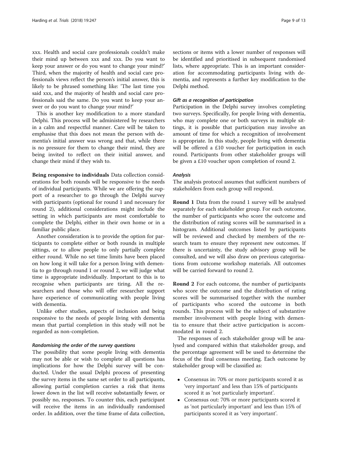xxx. Health and social care professionals couldn't make their mind up between xxx and xxx. Do you want to keep your answer or do you want to change your mind?' Third, when the majority of health and social care professionals views reflect the person's initial answer, this is likely to be phrased something like: 'The last time you said xxx, and the majority of health and social care professionals said the same. Do you want to keep your answer or do you want to change your mind?'

This is another key modification to a more standard Delphi. This process will be administered by researchers in a calm and respectful manner. Care will be taken to emphasise that this does not mean the person with dementia's initial answer was wrong and that, while there is no pressure for them to change their mind, they are being invited to reflect on their initial answer, and change their mind if they wish to.

Being responsive to individuals Data collection considerations for both rounds will be responsive to the needs of individual participants. While we are offering the support of a researcher to go through the Delphi survey with participants (optional for round 1 and necessary for round 2), additional considerations might include the setting in which participants are most comfortable to complete the Delphi, either in their own home or in a familiar public place.

Another consideration is to provide the option for participants to complete either or both rounds in multiple sittings, or to allow people to only partially complete either round. While no set time limits have been placed on how long it will take for a person living with dementia to go through round 1 or round 2, we will judge what time is appropriate individually. Important to this is to recognise when participants are tiring. All the researchers and those who will offer researcher support have experience of communicating with people living with dementia.

Unlike other studies, aspects of inclusion and being responsive to the needs of people living with dementia mean that partial completion in this study will not be regarded as non-completion.

# Randomising the order of the survey questions

The possibility that some people living with dementia may not be able or wish to complete all questions has implications for how the Delphi survey will be conducted. Under the usual Delphi process of presenting the survey items in the same set order to all participants, allowing partial completion carries a risk that items lower down in the list will receive substantially fewer, or possibly no, responses. To counter this, each participant will receive the items in an individually randomised order. In addition, over the time frame of data collection, sections or items with a lower number of responses will be identified and prioritised in subsequent randomised lists, where appropriate. This is an important consideration for accommodating participants living with dementia, and represents a further key modification to the Delphi method.

# Gift as a recognition of participation

Participation in the Delphi survey involves completing two surveys. Specifically, for people living with dementia, who may complete one or both surveys in multiple sittings, it is possible that participation may involve an amount of time for which a recognition of involvement is appropriate. In this study, people living with dementia will be offered a £10 voucher for participation in each round. Participants from other stakeholder groups will be given a £10 voucher upon completion of round 2.

# Analysis

The analysis protocol assumes that sufficient numbers of stakeholders from each group will respond.

Round 1 Data from the round 1 survey will be analysed separately for each stakeholder group. For each outcome, the number of participants who score the outcome and the distribution of rating scores will be summarised in a histogram. Additional outcomes listed by participants will be reviewed and checked by members of the research team to ensure they represent new outcomes. If there is uncertainty, the study advisory group will be consulted, and we will also draw on previous categorisations from outcome workshop materials. All outcomes will be carried forward to round 2.

Round 2 For each outcome, the number of participants who score the outcome and the distribution of rating scores will be summarised together with the number of participants who scored the outcome in both rounds. This process will be the subject of substantive member involvement with people living with dementia to ensure that their active participation is accommodated in round 2.

The responses of each stakeholder group will be analysed and compared within that stakeholder group, and the percentage agreement will be used to determine the focus of the final consensus meeting. Each outcome by stakeholder group will be classified as:

- Consensus in: 70% or more participants scored it as 'very important' and less than 15% of participants scored it as 'not particularly important'.
- Consensus out: 70% or more participants scored it as 'not particularly important' and less than 15% of participants scored it as 'very important'.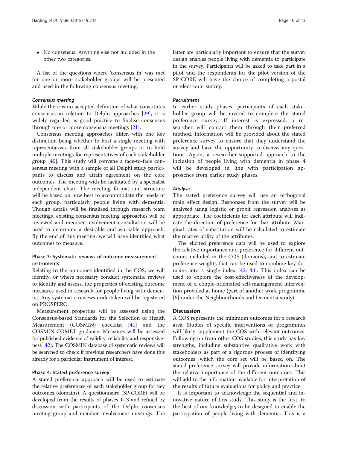No consensus: Anything else not included in the other two categories.

A list of the questions where 'consensus in' was met for one or more stakeholder groups will be presented and used in the following consensus meeting.

# Consensus meeting

While there is no accepted definition of what constitutes consensus in relation to Delphi approaches [\[29\]](#page-12-0), it is widely regarded as good practice to finalise consensus through one or more consensus meetings [\[21](#page-12-0)].

Consensus meeting approaches differ, with one key distinction being whether to host a single meeting with representatives from all stakeholder groups or to hold multiple meetings for representatives of each stakeholder group [[40\]](#page-12-0). This study will convene a face-to-face consensus meeting with a sample of all Delphi study participants to discuss and attain agreement on the core outcomes. The meeting with be facilitated by a specialist independent chair. The meeting format and structure will be based on how best to accommodate the needs of each group, particularly people living with dementia. Though details will be finalised through research team meetings, existing consensus meeting approaches will be reviewed and member involvement consultation will be used to determine a desirable and workable approach. By the end of this meeting, we will have identified what outcomes to measure.

# Phase 3: Systematic reviews of outcome measurement instruments

Relating to the outcomes identified in the COS, we will identify, or where necessary conduct systematic reviews to identify and assess, the properties of existing outcome measures used in research for people living with dementia. Any systematic reviews undertaken will be registered on PROSPERO.

Measurement properties will be assessed using the Consensus-based Standards for the Selection of Health Measurement (COSMIN) checklist [[41\]](#page-12-0) and the COSMIN-COMET guidance. Measures will be assessed for published evidence of validity, reliability and responsiveness [\[42](#page-13-0)]. The COSMIN database of systematic reviews will be searched to check if previous researchers have done this already for a particular instrument of interest.

# Phase 4: Stated preference survey

A stated preference approach will be used to estimate the relative preferences of each stakeholder group for key outcomes (domains). A questionnaire (SP-CORE) will be developed from the results of phases 1–3 and refined by discussion with participants of the Delphi consensus meeting group and member involvement meetings. The latter are particularly important to ensure that the survey design enables people living with dementia to participate in the survey. Participants will be asked to take part in a pilot and the respondents for the pilot version of the SP-CORE will have the choice of completing a postal or electronic survey.

# Recruitment

In earlier study phases, participants of each stakeholder group will be invited to complete the stated preference survey. If interest is expressed, a researcher will contact them through their preferred method. Information will be provided about the stated preference survey to ensure that they understand the survey and have the opportunity to discuss any questions. Again, a researcher-supported approach to the inclusion of people living with dementia in phase 4 will be developed in line with participation approaches from earlier study phases.

# Analysis

The stated preference survey will use an orthogonal main effect design. Responses from the survey will be analysed using logistic or probit regression analyses as appropriate. The coefficients for each attribute will indicate the direction of preference for that attribute. Marginal rates of substitution will be calculated to estimate the relative utility of the attributes.

The elicited preference data will be used to explore the relative importance and preference for different outcomes included in the COS (domains), and to estimate preference weights that can be used to combine key domains into a single index [\[42,](#page-13-0) [43\]](#page-13-0). This index can be used to explore the cost-effectiveness of the development of a couple-orientated self-management intervention provided at home (part of another work programme [[6\]](#page-12-0) under the Neighbourhoods and Dementia study).

# **Discussion**

A COS represents the minimum outcomes for a research area. Studies of specific interventions or programmes will likely supplement the COS with relevant outcomes. Following on from other COS studies, this study has key strengths, including substantive qualitative work with stakeholders as part of a rigorous process of identifying outcomes, which the core set will be based on. The stated preference survey will provide information about the relative importance of the different outcomes. This will add to the information available for interpretation of the results of future evaluations for policy and practice.

It is important to acknowledge the sequential and innovative nature of this study. This study is the first, to the best of our knowledge, to be designed to enable the participation of people living with dementia. This is a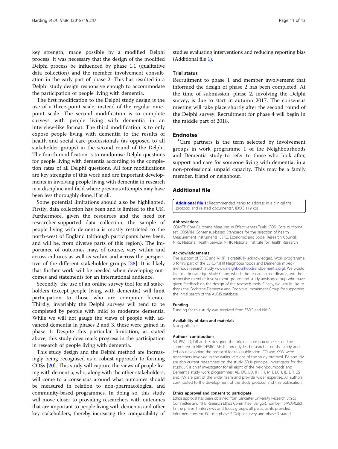key strength, made possible by a modified Delphi process. It was necessary that the design of the modified Delphi process be influenced by phase 1.1 (qualitative data collection) and the member involvement consultation in the early part of phase 2. This has resulted in a Delphi study design responsive enough to accommodate the participation of people living with dementia.

The first modification to the Delphi study design is the use of a three-point scale, instead of the regular ninepoint scale. The second modification is to complete surveys with people living with dementia in an interview-like format. The third modification is to only expose people living with dementia to the results of health and social care professionals (as opposed to all stakeholder groups) in the second round of the Delphi. The fourth modification is to randomise Delphi questions for people living with dementia according to the completion rates of all Delphi questions. All four modifications are key strengths of this work and are important developments in involving people living with dementia in research in a discipline and field where previous attempts may have been less thoroughly done, if at all.

Some potential limitations should also be highlighted. Firstly, data collection has been and is limited to the UK. Furthermore, given the resources and the need for researcher-supported data collection, the sample of people living with dementia is mostly restricted to the north-west of England (although participants have been, and will be, from diverse parts of this region). The importance of outcomes may, of course, vary within and across cultures as well as within and across the perspective of the different stakeholder groups [\[38\]](#page-12-0). It is likely that further work will be needed when developing outcomes and statements for an international audience.

Secondly, the use of an online survey tool for all stakeholders (except people living with dementia) will limit participation to those who are computer literate. Thirdly, invariably the Delphi surveys will tend to be completed by people with mild to moderate dementia. While we will not gauge the views of people with advanced dementia in phases 2 and 3, these were gained in phase 1. Despite this particular limitation, as stated above, this study does mark progress in the participation in research of people living with dementia.

This study design and the Delphi method are increasingly being recognised as a robust approach to forming COSs [\[20](#page-12-0)]. This study will capture the views of people living with dementia, who, along with the other stakeholders, will come to a consensus around what outcomes should be measured in relation to non-pharmacological and community-based programmes. In doing so, this study will move closer to providing researchers with outcomes that are important to people living with dementia and other key stakeholders, thereby increasing the comparability of studies evaluating interventions and reducing reporting bias (Additional file 1).

# Trial status

Recruitment to phase 1 and member involvement that informed the design of phase 2 has been completed. At the time of submission, phase 2, involving the Delphi survey, is due to start in autumn 2017. The consensus meeting will take place shortly after the second round of the Delphi survey. Recruitment for phase 4 will begin in the middle part of 2018.

# **Endnotes**

 ${}^{1}$ Care partners is the term selected by involvement groups in work programme 1 of the Neighbourhoods and Dementia study to refer to those who look after, support and care for someone living with dementia, in a non-professional unpaid capacity. This may be a family member, friend or neighbour.

# Additional file

[Additional file 1:](https://doi.org/10.1186/s13063-018-2584-9) Recommended items to address in a clinical trial protocol and related documents\*. (DOC 119 kb)

#### Abbreviations

COMET: Core Outcome Measures in Effectiveness Trials; COS: Core outcome set; COSMIN: Consensus-based Standards for the selection of health Measurement Instruments; ESRC: Economic and Social Research Council; NHS: National Health Service; NIHR: National Institute for Health Research

#### Acknowledgements

The support of ESRC and NIHR is gratefully acknowledged. Work programme 3 forms part of the ESRC/NIHR Neighbourhoods and Dementia mixedmethods research study [\(www.neighbourhoodsanddementia.org](http://www.neighbourhoodsanddementia.org)). We would like to acknowledge Marie Crane, who is the research co-ordinator, and the respective member involvement groups and study advisory group who have given feedback on the design of the research tools. Finally, we would like to thank the Cochrane Dementia and Cognitive Impairment Group for supporting the initial search of the ALOIS database.

#### Funding

Funding for this study was received from ESRC and NIHR.

# Availability of data and materials

Not applicable.

# Authors' contributions

SR, PW, LD, DR and JK designed the original core outcome set outline submitted to NIHR/ESRC. AH is currently lead researcher on the study and led on developing the protocol for this publication. CO and YYW were researchers involved in the earlier versions of the study protocol. FA and HM are also current researchers on the study. SR is principal investigator for this study. JK is chief investigator for all eight of the Neighbourhoods and Dementia study work programmes. AB, DC, LD, IH, FH, MH, LCH, IL, DR, CS and PW are part of the wider team and provide wider expertise. All authors contributed to the development of the study protocol and this publication.

#### Ethics approval and consent to participate

Ethics approval has been obtained from Lancaster University Research Ethics Committee and NHS Research Ethics Committee (Bangor), number 15/WA/0260. In the phase 1 interviews and focus groups, all participants provided informed consent. For the phase 2 Delphi survey and phase 3 stated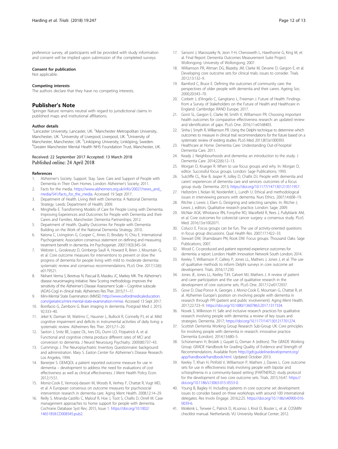<span id="page-12-0"></span>preference survey, all participants will be provided with study information and consent will be implied upon submission of the completed surveys.

#### Consent for publication

Not applicable.

#### Competing interests

The authors declare that they have no competing interests.

# Publisher's Note

Springer Nature remains neutral with regard to jurisdictional claims in published maps and institutional affiliations.

#### Author details

<sup>1</sup> Lancaster University, Lancaster, UK. <sup>2</sup> Manchester Metropolitan University, Manchester, UK. <sup>3</sup>University of Liverpool, Liverpool, UK. <sup>4</sup>University of Manchester, Manchester, UK. <sup>5</sup>Linköping University, Linköping, Sweden.<br><sup>6</sup>Groater Manchester Montal Health NHS Foundation Trust, Manchester Greater Manchester Mental Health NHS Foundation Trust, Manchester, UK.

# Received: 22 September 2017 Accepted: 13 March 2018 Published online: 24 April 2018

# References

- Alzheimer's Society. Support. Stay. Save. Care and Support of People with Dementia in Their Own Homes. London: Alzheimer's Society; 2011.
- 2. Facts for the media. [https://www.alzheimers.org.uk/info/20027/news\\_and\\_](https://www.alzheimers.org.uk/info/20027/news_and_media/541/facts_for_the_media) [media/541/facts\\_for\\_the\\_media.](https://www.alzheimers.org.uk/info/20027/news_and_media/541/facts_for_the_media) Accessed 19 Sept 2017.
- 3. Department of Health. Living Well with Dementia: A National Dementia Strategy. Leeds: Department of Health; 2009.
- 4. Minghella E. Transforming Models of Care for People Living with Dementia. Improving Experiences and Outcomes for People with Dementia and their Carers and Families. Manchester: Dementia Partnerships; 2012.
- 5. Department of Health. Quality Outcomes for People with Dementia: Building on the Work of the National Dementia Strategy. 2010.
- Katona C, Livingston G, Cooper C, Ames D, Brodaty H, Chiu E. International Psychogeriatric Association consensus statement on defining and measuring treatment benefit in dementia. Int Psychogeriatr. 2007;19(3):345–54.
- 7. Webster L, Groskreutz D, Grinbergs-Saull A, Howard R, Brien J, Mountain G, et al. Core outcome measures for interventions to prevent or slow the progress of dementia for people living with mild to moderate dementia: systematic review and consensus recommendations. PLoS One. 2017;12(6): e0179521.
- 8. Nishant Verma S, Beretvas N, Pascual B, Masdeu JC, Markey MK. The Alzheimer's disease neuroimaging initiative. New Scoring methodology improves the sensitivity of the Alzheimer's Disease Assessment Scale – Cognitive subscale (ADAS-Cog) in clinical trials. Alzheimers Res Ther. 2015;7:1–17.
- Mini-Mental State Examination (MMSE) [http://www.oxfordmedicaleducation.](http://www.oxfordmedicaleducation.com/geriatrics/mini-mental-state-examination-mmse) [com/geriatrics/mini-mental-state-examination-mmse](http://www.oxfordmedicaleducation.com/geriatrics/mini-mental-state-examination-mmse). Accessed 13 Sept 2017.
- 10. Bonifacio G, Zamboni G. Brain imaging in dementia. Postgrad Med J. 2015; 92:333–40.
- 11. Jekel K, Damian M, Wattmo C, Hausner L, Bullock R, Connelly PJ, et al. Mild cognitive impairment and deficits in instrumental activities of daily living: a systematic review. Alzheimers Res Ther. 2015;7:1–20.
- 12. Saxton J, Snitz BE, Lopez OL, Ives DG, Dunn LO, Fitzpatrick A, et al. Functional and cognitive criteria produce different rates of MCI and conversion to dementia. J Neurol Neurosurg Psychiatry. 2009;80:737–43.
- 13. Cummings J. The Neuropsychiatric Inventory Questionnaire: background and administration. Mary S. Easton Center for Alzheimer's Disease Research: Los Angeles; 1994.
- 14. Banerjee S. DEMQOL a patient reported outcome measure for use in dementia – development to address the need for evaluations of cost effectiveness as well as clinical effectiveness. J Ment Health Policy Econ. 2012;15:S1.
- 15. Moniz-Cook E, Vernooij-dassen M, Woods R, Verhey F, Chattat R, Vugt MD, et al. A European consensus on outcome measures for psychosocial intervention research in dementia care. Aging Ment Health. 2008;12:14–29.
- 16. Reilly S, Miranda-Castillo C, Malouf R, Hoe J, Toot S, Challis D, Orrell M. Case management approaches to home support for people with dementia. Cochrane Database Syst Rev; 2015, Issue 1. [https://doi.org/10.1002/](https://doi.org/10.1002/14651858.CD008345.pub2) [14651858.CD008345.pub2](https://doi.org/10.1002/14651858.CD008345.pub2).
- 17. Sansoni J, Marosszeky N, Jeon Y-H, Chenoweth L, Hawthorne G, King M, et al. Final Report: Dementia Outcomes Measurement Suite Project. Wollongong: University of Wollongong; 2007.
- 18. Williamson PR, Altman DG, Blazeby JM, Clarke M, Devane D, Gargon E, et al. Developing core outcome sets for clinical trials: issues to consider. Trials. 2012;13:132–9.
- 19. Bamford C, Bruce E. Defining the outcomes of community care: the perspectives of older people with dementia and their carers. Ageing Soc. 2000;20:543–70.
- 20. Corbett J, d'Angelo C, Gangitano L, Freeman J. Future of Health. Findings from a Survey of Stakeholders on the Future of Health and Healthcare in England. Cambridge: RAND Europe; 2017.
- 21. Gorst SL, Gargon E, Clarke M, Smith V, Williamson PR. Choosing important health outcomes for comparative effectiveness research: an updated review and identification of gaps. PLoS One. 2016;11:e0168403.
- 22. Sinha I, Smyth R, Williamson PR. Using the Delphi technique to determine which outcomes to measure in clinical trial: recommendations for the future based on a systematic review of existing studies. PLoS Med. 2011;8(1):e1000393.
- 23. Healthcare at Home. Dementia Care: Understanding Out-of-hospital Dementia Care. 2011.
- 24. Keady J. Neighbourhoods and dementia: an introduction to the study. J Dementia Care. 2014;22(6):12–13.
- 25. Morgan D, Krueger R. When to use focus groups and why. In: Morgan D, editor. Successful focus groups. London: Sage Publications; 1993.
- 26. Sutcliffe CL, Roe B, Jasper R, Jolley D, Challis DJ. People with dementia and carers' experiences of dementia care and services: outcomes of a focus group study. Dementia. 2013; [https://doi.org/10.1177/1471301213511957.](https://doi.org/10.1177/1471301213511957)
- 27. Hellström I, Nolan M, Nordenfelt L, Lundh U. Ethical and methodological issues in interviewing persons with dementia. Nurs Ethics. 2007;14:608–19.
- 28. Ritchie J, Lewis J, Elam G. Designing and selecting samples. In: Ritchie J, Lewis J, editors. Qualitative research practice. London: Sage; 2009.
- 29. McNair AGK, Whistance RN, Forsythe RO, Macefield R, Rees J, Pullyblank AM, et al. Core outcomes for colorectal cancer surgery: a consensus study. PLoS Med. 2016;13:e1002071.
- 30. Colucci E. Focus groups can be fun. The use of activity-oriented questions in focus group discussions. Qual Health Res. 2007;17:1422–33.
- 31. Stewart DW, Shamdasani PN, Rook DW. Focus groups. Thousand Oaks: Sage Publications; 2007.
- 32. Wood C. Co-produced and patient reported experience outcomes for dementia: a report. London: Health Innovation Network South London; 2014.
- 33. Keeley T, Williamson P, Callery P, Jones LL, Mathers J, Jones J, et al. The use of qualitative methods to inform Delphi surveys in core outcome set development. Trials. 2016;17:230.
- 34. Jones JE, Jones LL, Keeley TJH, Calvert MJ, Mathers J. A review of patient and carer participation and the use of qualitative research in the development of core outcome sets. PLoS One. 2017;12:e0172937.
- 35. Gove D, Diaz-Ponce A, Georges J, Moniz-Cook E, Mountain G, Chattat R, et al. Alzheimer Europe's position on involving people with dementia in research through PPI (patient and public involvement). Aging Ment Health. 2017;22:723–9. [https://doi.org/10.1080/13607863.2017.1317334.](https://doi.org/10.1080/13607863.2017.1317334)
- 36. Novek S, Wilkinson H. Safe and inclusive research practices for qualitative research involving people with dementia: a review of key issues and strategies. Dementia. 2017; [https://doi.org/10.1177/1471301217701274.](https://doi.org/10.1177/1471301217701274)
- 37. Scottish Dementia Working Group Research Sub-Group UK. Core principles for involving people with dementia in research: innovative practice. Dementia (London). 2014;13:680–5.
- 38. Schünemann H, Brożek J, Guyatt G, Oxman A (editors). The GRADE Working Group. GRADE Handbook for Grading Quality of Evidence and Strength of Recommendations. Available from [http://gdt.guidelinedevelopment.org/](http://gdt.guidelinedevelopment.org/app/handbook/handbook.html) [app/handbook/handbook.html.](http://gdt.guidelinedevelopment.org/app/handbook/handbook.html) Updated October 2013.
- 39. Keeley T, Khan H, Pinfold V, Williamson P, Mathers J, Davies L. Core outcome sets for use in effectiveness trials involving people with bipolar and schizophrenia in a community-based setting (PARTNERS2): study protocol for the development of two core outcome sets. Trials. 2015;16:47. [https://](https://doi.org/10.1186/s13063-015-0553-0) [doi.org/10.1186/s13063-015-0553-0.](https://doi.org/10.1186/s13063-015-0553-0)
- 40. Young B, Bagley H. Including patients in core outcome set development: issues to consider based on three workshops with around 100 international delegates. Res Involv Engage. 2016;2:25. [https://doi.org/10.1186/s40900-016-](https://doi.org/10.1186/s40900-016-0039-6) [0039-6.](https://doi.org/10.1186/s40900-016-0039-6)
- 41. Mokkink L, Terwee C, Patrick D, ALsonso J, Knol D, Bouter L, et al. COSMIN checklist manual. Netherlands: VU University Medical Center; 2012.